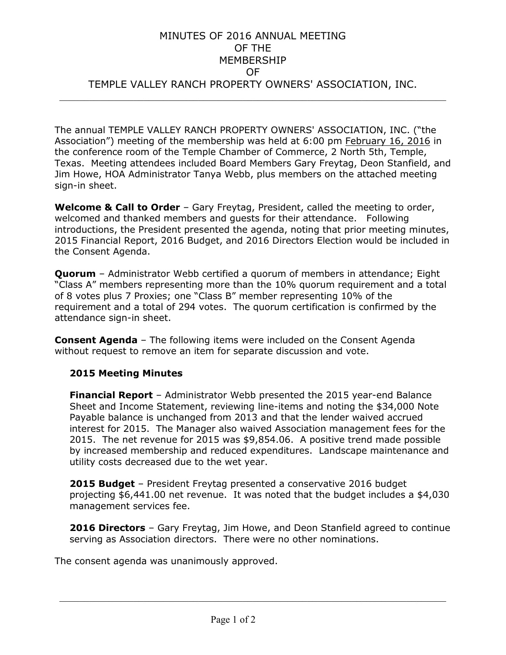## MINUTES OF 2016 ANNUAL MEETING OF THE MEMBERSHIP OF TEMPLE VALLEY RANCH PROPERTY OWNERS' ASSOCIATION, INC.  $\frac{1}{2}$  ,  $\frac{1}{2}$  ,  $\frac{1}{2}$  ,  $\frac{1}{2}$  ,  $\frac{1}{2}$  ,  $\frac{1}{2}$  ,  $\frac{1}{2}$  ,  $\frac{1}{2}$  ,  $\frac{1}{2}$  ,  $\frac{1}{2}$  ,  $\frac{1}{2}$  ,  $\frac{1}{2}$  ,  $\frac{1}{2}$  ,  $\frac{1}{2}$  ,  $\frac{1}{2}$  ,  $\frac{1}{2}$  ,  $\frac{1}{2}$  ,  $\frac{1}{2}$  ,  $\frac{1$

The annual TEMPLE VALLEY RANCH PROPERTY OWNERS' ASSOCIATION, INC. ("the Association") meeting of the membership was held at 6:00 pm February 16, 2016 in the conference room of the Temple Chamber of Commerce, 2 North 5th, Temple, Texas. Meeting attendees included Board Members Gary Freytag, Deon Stanfield, and Jim Howe, HOA Administrator Tanya Webb, plus members on the attached meeting sign-in sheet.

**Welcome & Call to Order** – Gary Freytag, President, called the meeting to order, welcomed and thanked members and guests for their attendance. Following introductions, the President presented the agenda, noting that prior meeting minutes, 2015 Financial Report, 2016 Budget, and 2016 Directors Election would be included in the Consent Agenda.

**Quorum** – Administrator Webb certified a quorum of members in attendance; Eight "Class A" members representing more than the 10% quorum requirement and a total of 8 votes plus 7 Proxies; one "Class B" member representing 10% of the requirement and a total of 294 votes. The quorum certification is confirmed by the attendance sign-in sheet.

**Consent Agenda** – The following items were included on the Consent Agenda without request to remove an item for separate discussion and vote.

## **2015 Meeting Minutes**

**Financial Report** – Administrator Webb presented the 2015 year-end Balance Sheet and Income Statement, reviewing line-items and noting the \$34,000 Note Payable balance is unchanged from 2013 and that the lender waived accrued interest for 2015. The Manager also waived Association management fees for the 2015. The net revenue for 2015 was \$9,854.06. A positive trend made possible by increased membership and reduced expenditures. Landscape maintenance and utility costs decreased due to the wet year.

**2015 Budget** – President Freytag presented a conservative 2016 budget projecting \$6,441.00 net revenue. It was noted that the budget includes a \$4,030 management services fee.

**2016 Directors** – Gary Freytag, Jim Howe, and Deon Stanfield agreed to continue serving as Association directors. There were no other nominations.

 $\frac{1}{2}$  ,  $\frac{1}{2}$  ,  $\frac{1}{2}$  ,  $\frac{1}{2}$  ,  $\frac{1}{2}$  ,  $\frac{1}{2}$  ,  $\frac{1}{2}$  ,  $\frac{1}{2}$  ,  $\frac{1}{2}$  ,  $\frac{1}{2}$  ,  $\frac{1}{2}$  ,  $\frac{1}{2}$  ,  $\frac{1}{2}$  ,  $\frac{1}{2}$  ,  $\frac{1}{2}$  ,  $\frac{1}{2}$  ,  $\frac{1}{2}$  ,  $\frac{1}{2}$  ,  $\frac{1$ 

The consent agenda was unanimously approved.